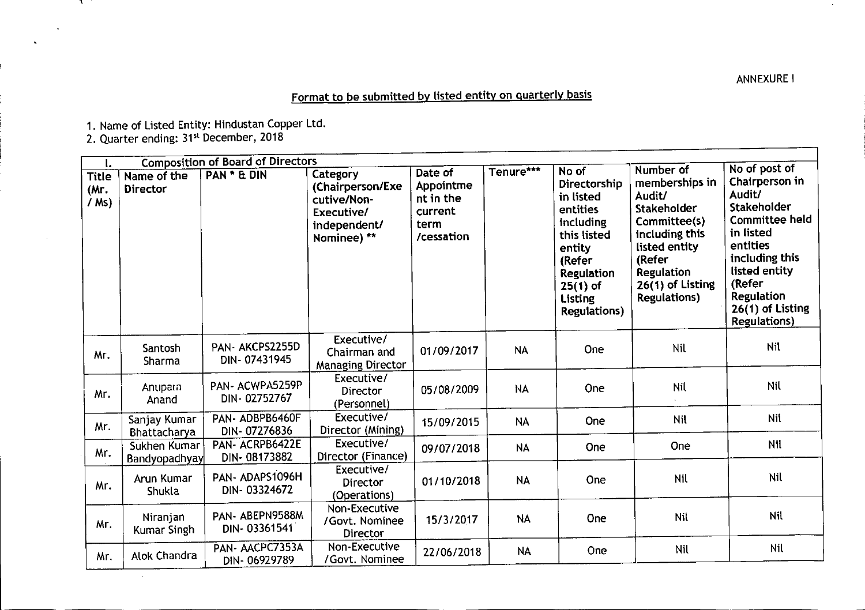Format to be submitted by listed entity on quarterly basis

1. Name of Listed Entity: Hindustan Copper Ltc

2. Quarter ending: 31<sup>st</sup> December, 2018

 $\sim$ 

 $\mathcal{X}$ 

| <b>Composition of Board of Directors</b><br>ι. |                               |                                 |                                                                                          |                                                                    |           |                                                                                                                                                                     |                                                                                                                                                                                   |                                                                                                                                                                                                                   |
|------------------------------------------------|-------------------------------|---------------------------------|------------------------------------------------------------------------------------------|--------------------------------------------------------------------|-----------|---------------------------------------------------------------------------------------------------------------------------------------------------------------------|-----------------------------------------------------------------------------------------------------------------------------------------------------------------------------------|-------------------------------------------------------------------------------------------------------------------------------------------------------------------------------------------------------------------|
| <b>Title</b><br>(Mr.<br>/ Ms)                  | Name of the<br>Director       | PAN * & DIN                     | Category<br>(Chairperson/Exe<br>cutive/Non-<br>Executive/<br>independent/<br>Nominee) ** | Date of<br>Appointme<br>nt in the<br>current<br>term<br>/cessation | Tenure*** | No of<br>Directorship<br>in listed<br>entities<br>including<br>this listed<br>entity<br>(Refer<br><b>Regulation</b><br>$25(1)$ of<br>Listing<br><b>Regulations)</b> | Number of<br>memberships in<br>Audit/<br><b>Stakeholder</b><br>Committee(s)<br>including this<br>listed entity<br>(Refer<br>Regulation<br>26(1) of Listing<br><b>Regulations)</b> | No of post of<br>Chairperson in<br>Audit/<br>Stakeholder<br><b>Committee held</b><br>in listed<br>entities<br>including this<br>listed entity<br>(Refer<br>Regulation<br>26(1) of Listing<br><b>Regulations</b> ) |
| Mr.                                            | Santosh<br>Sharma             | PAN-AKCPS2255D<br>DIN-07431945  | Executive/<br>Chairman and<br><b>Managing Director</b>                                   | 01/09/2017                                                         | <b>NA</b> | One                                                                                                                                                                 | Nil                                                                                                                                                                               | <b>Nil</b>                                                                                                                                                                                                        |
| Mr.                                            | Anuparn<br>Anand              | PAN- ACWPA5259P<br>DIN-02752767 | Executive/<br>Director<br>(Personnel)                                                    | 05/08/2009                                                         | NA        | One                                                                                                                                                                 | Nil                                                                                                                                                                               | Nil                                                                                                                                                                                                               |
| Mr.                                            | Sanjay Kumar<br>Bhattacharya  | PAN-ADBPB6460F<br>DIN-07276836  | Executive/<br>Director (Mining)                                                          | 15/09/2015                                                         | <b>NA</b> | One                                                                                                                                                                 | Nil                                                                                                                                                                               | Nil                                                                                                                                                                                                               |
| Mr.                                            | Sukhen Kumar<br>Bandyopadhyay | PAN-ACRPB6422E<br>DIN-08173882  | Executive/<br>Director (Finance)                                                         | 09/07/2018                                                         | <b>NA</b> | One                                                                                                                                                                 | One                                                                                                                                                                               | Nil                                                                                                                                                                                                               |
| Mr.                                            | Arun Kumar<br>Shukla          | PAN-ADAPS1096H<br>DIN-03324672  | Executive/<br><b>Director</b><br>(Operations)                                            | 01/10/2018                                                         | <b>NA</b> | One                                                                                                                                                                 | Nil                                                                                                                                                                               | Nil                                                                                                                                                                                                               |
| Mr.                                            | Niranjan<br>Kumar Singh       | PAN-ABEPN9588M<br>DIN-03361541  | Non-Executive<br>/Govt. Nominee<br>Director                                              | 15/3/2017                                                          | <b>NA</b> | One                                                                                                                                                                 | <b>Nil</b>                                                                                                                                                                        | Nil                                                                                                                                                                                                               |
| Mr.                                            | Alok Chandra                  | PAN- AACPC7353A<br>DIN-06929789 | Non-Executive<br>/Govt. Nominee                                                          | 22/06/2018                                                         | <b>NA</b> | One                                                                                                                                                                 | Nil                                                                                                                                                                               | Nil                                                                                                                                                                                                               |

**ANNEXUREI**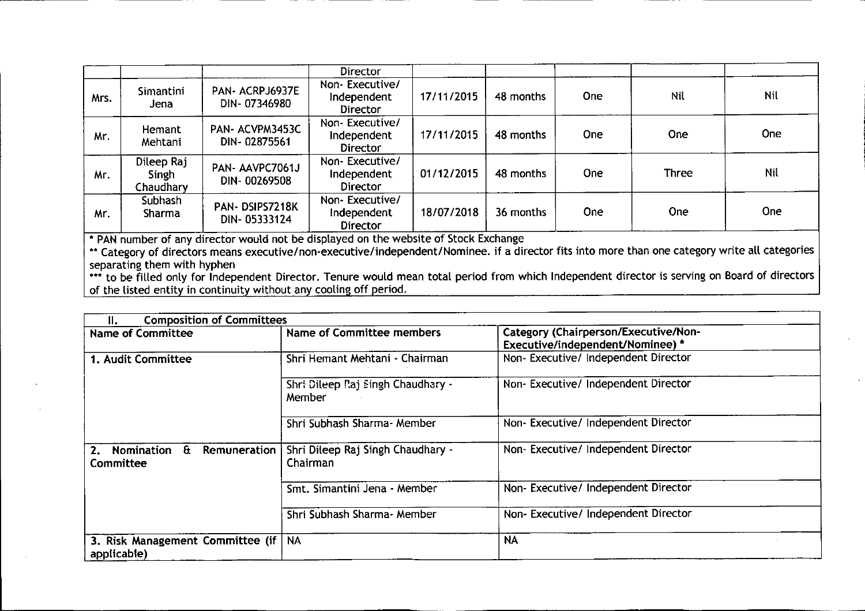|      |                                  |                                 | Director                                         |            |           |            |              |            |
|------|----------------------------------|---------------------------------|--------------------------------------------------|------------|-----------|------------|--------------|------------|
| Mrs. | Simantini<br>Jena                | PAN- ACRPJ6937E<br>DIN-07346980 | Non-Executive/<br>Independent<br>Director        | 17/11/2015 | 48 months | <b>One</b> | <b>Nil</b>   | Nil        |
| Mr.  | Hemant<br>Mehtani                | PAN-ACVPM3453C<br>DIN-02875561  | Non-Executive/<br>Independent<br><b>Director</b> | 17/11/2015 | 48 months | <b>One</b> | <b>One</b>   | One        |
| Mr.  | Dileep Raj<br>Singh<br>Chaudhary | PAN-AAVPC7061J<br>DIN-00269508  | Non-Executive/<br>Independent<br>Director        | 01/12/2015 | 48 months | <b>One</b> | <b>Three</b> | <b>Nil</b> |
| Mr.  | Subhash<br><b>Sharma</b>         | PAN-DSIPS7218K<br>DIN-05333124  | Non-Executive/<br>Independent<br>Director        | 18/07/2018 | 36 months | <b>One</b> | <b>One</b>   | One        |

• PAN number of any director would not be displayed on the website of Stock Exchange

\*\* Category of directors means executive/non-executive/independent/Nominee. if a director fits into more than one category write all categorie: separating them with hyphen

••• to be filled only for Independent Director. Tenure would mean total period from which Independent director is serving on Board of directors of the listed entity in continuity without any cooling off period.

| <b>Composition of Committees</b><br>Н.                  |                                               |                                                                          |  |  |  |
|---------------------------------------------------------|-----------------------------------------------|--------------------------------------------------------------------------|--|--|--|
| <b>Name of Committee</b>                                | Name of Committee members                     | Category (Chairperson/Executive/Non-<br>Executive/independent/Nominee) * |  |  |  |
| 1. Audit Committee                                      | Shri Hemant Mehtani - Chairman                | Non-Executive/ Independent Director                                      |  |  |  |
|                                                         | Shri Dileep Raj Singh Chaudhary -<br>Member   | Non-Executive/Independent Director                                       |  |  |  |
|                                                         | Shri Subhash Sharma- Member                   | Non-Executive/Independent Director                                       |  |  |  |
| Nomination<br>$\mathbf{a}$<br>Remuneration<br>Committee | Shri Dileep Raj Singh Chaudhary -<br>Chairman | Non-Executive/ Independent Director                                      |  |  |  |
|                                                         | Smt. Simantini Jena - Member                  | Non-Executive/Independent Director                                       |  |  |  |
|                                                         | Shri Subhash Sharma- Member                   | Non- Executive/ Independent Director                                     |  |  |  |
| 3. Risk Management Committee (if  <br>applicable)       | <b>NA</b>                                     | <b>NA</b>                                                                |  |  |  |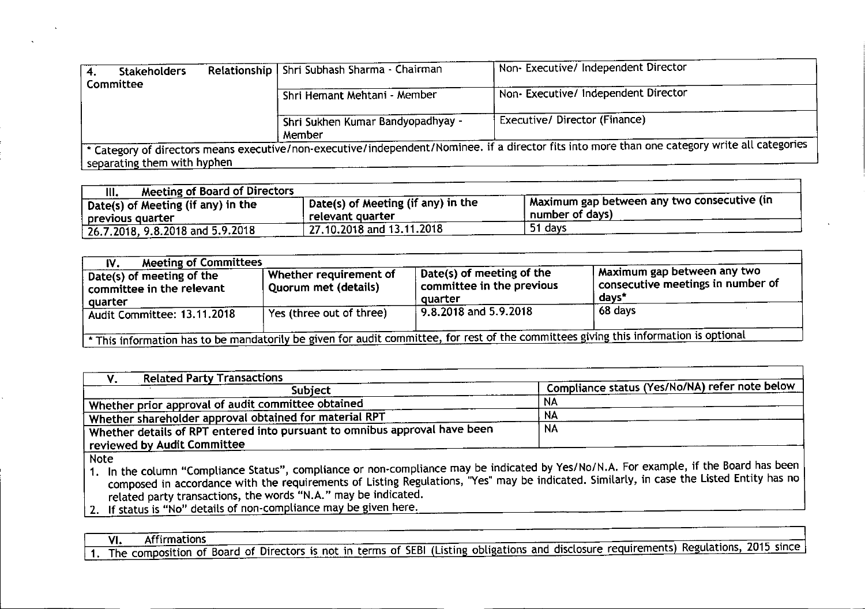| Stakeholders<br>4.<br><b>Committee</b> | Relationship   Shri Subhash Sharma - Chairman | Non- Executive/ Independent Director                                                                                                           |
|----------------------------------------|-----------------------------------------------|------------------------------------------------------------------------------------------------------------------------------------------------|
|                                        | Shri Hemant Mehtani - Member                  | Non-Executive/Independent Director                                                                                                             |
|                                        | Shri Sukhen Kumar Bandyopadhyay -<br>Member   | Executive/Director (Finance)                                                                                                                   |
| separating them with hyphen            |                                               | * Category of directors means executive/non-executive/independent/Nominee. if a director fits into more than one category write all categories |

| Meeting of Board of Directors<br>Ш.                    |                                                        |                                                                  |
|--------------------------------------------------------|--------------------------------------------------------|------------------------------------------------------------------|
| Date(s) of Meeting (if any) in the<br>previous quarter | Date(s) of Meeting (if any) in the<br>relevant quarter | I Maximum gap between any two consecutive (in<br>number of days) |
| $\frac{1}{2}$ 26.7.2018, 9.8.2018 and 5.9.2018         | $\pm$ 27.10.2018 and 13.11.2018                        | 51 days                                                          |

| <b>Meeting of Committees</b><br>IV.                                                                                                   |                                                         |                                                                   |                                                                                           |  |  |
|---------------------------------------------------------------------------------------------------------------------------------------|---------------------------------------------------------|-------------------------------------------------------------------|-------------------------------------------------------------------------------------------|--|--|
| <sup>1</sup> Date(s) of meeting of the<br>$\lq$ committee in the relevant<br>quarter                                                  | Whether requirement of <b>N</b><br>Quorum met (details) | Date(s) of meeting of the<br>committee in the previous<br>auarter | Maximum gap between any two<br>$^{\mathrm{t}}$ consecutive meetings in number of<br>days* |  |  |
| Audit Committee: 13.11.2018                                                                                                           | Yes (three out of three)                                | $9.8.2018$ and 5.9.2018                                           | 68 days                                                                                   |  |  |
| * This information has to be mandatorily be given for audit committee, for rest of the committees giving this information is optional |                                                         |                                                                   |                                                                                           |  |  |

| <b>Related Party Transactions</b><br>۷.                                                                                                          |                                                |  |  |  |  |
|--------------------------------------------------------------------------------------------------------------------------------------------------|------------------------------------------------|--|--|--|--|
| <b>Subject</b>                                                                                                                                   | Compliance status (Yes/No/NA) refer note below |  |  |  |  |
| Whether prior approval of audit committee obtained                                                                                               | NA.                                            |  |  |  |  |
| Whether shareholder approval obtained for material RPT                                                                                           | <b>NA</b>                                      |  |  |  |  |
| Whether details of RPT entered into pursuant to omnibus approval have been $\overline{\phantom{a}}$                                              | <b>NA</b>                                      |  |  |  |  |
| reviewed by Audit Committee                                                                                                                      |                                                |  |  |  |  |
| <b>Note</b><br>In the column "Compliance Status" compliance or non-compliance may be indicated by Yes/No/N.A. For example, if the Board has been |                                                |  |  |  |  |

1. In the column "Compliance Status", compliance or non-compliance may be indicated by Yes/NolN.A. For example, if the Board has been composed in accordance with the requirements of Listing Regulations, "Yes" may be indicated. Similarly, in case the Listed Entity has no related party transactions, the words "N.A." may be indicated.

2. If status is "No" details of non-compliance may be given here.

VI. Affirmation

1. The composition of Board of Directors is not in terms of SEBI